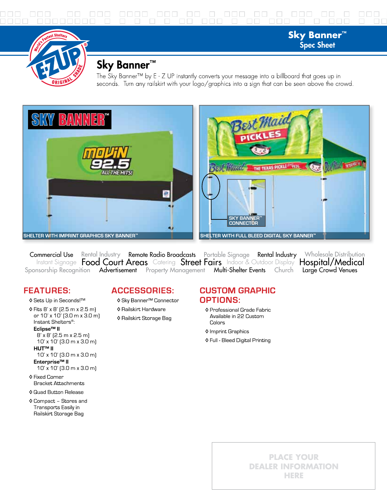

# Sky Banner<sup>™</sup>

The Sky Banner™ by E - Z UP instantly converts your message into a billboard that goes up in seconds. Turn any railskirt with your logo/graphics into a sign that can be seen above the crowd.

**Sky Banner™ Spec Sheet** 



Commercial Use Rental Industry Remote Radio Broadcasts Portable Signage Rental Industry Wholesale Distribution Instant Signage Food Court Areas Catering Street Fairs Indoor & Outdoor Display Hospital/Medical Sponsorship Recognition Advertisement Property Management Multi-Shelter Events Church Large Crowd Venues

## **FEATURES:**

- ♦ Sets Up in Seconds!™
- ♦ Fits 8' x 8' (2.5 m x 2.5 m) or 10' x 10' [3.0 m x 3.0 m] Instant Shelters<sup>®</sup>: Eclipse<sup>™</sup> II  $8' \times 8'$  (2.5 m x 2.5 m) 10' x 10' (3.0 m x 3.0 m) **HUT™ II**

#### 10' x 10' (3.0 m x 3.0 m) Enterprise<sup>™</sup> II

10' x 10' (3.0 m x 3.0 m)

♦ Fixed Corner **Bracket Attachments** 

#### ♦ Quad Button Release

♦ Compact - Stores and Transports Easily in Railskirt Storage Bag

## **ACCESSORIES:**

- ♦ Sky Banner<sup>™</sup> Connector
- ♦ Railskirt Hardware
- ♦ Railskirt Storage Bag

### **CUSTOM GRAPHIC OPTIONS:**

- ♦ Professional Grade Fabric Available in 22 Custom Colors
- ♦ Imprint Graphics
- ♦ Full Bleed Digital Printing

## **PLACE YOUR DEALER INFORMATION** HERE